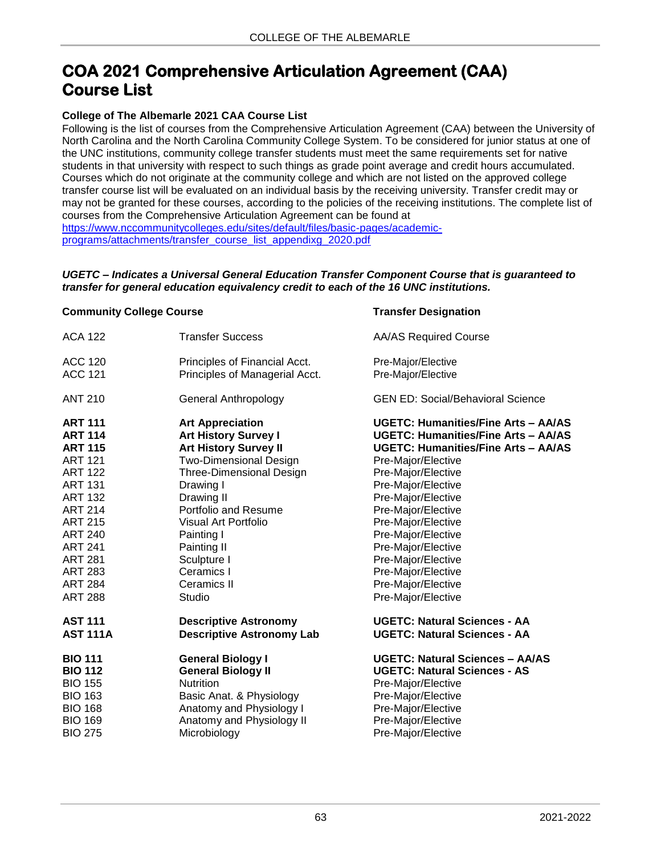## **COA 2021 Comprehensive Articulation Agreement (CAA) Course List**

## **College of The Albemarle 2021 CAA Course List**

Following is the list of courses from the Comprehensive Articulation Agreement (CAA) between the University of North Carolina and the North Carolina Community College System. To be considered for junior status at one of the UNC institutions, community college transfer students must meet the same requirements set for native students in that university with respect to such things as grade point average and credit hours accumulated. Courses which do not originate at the community college and which are not listed on the approved college transfer course list will be evaluated on an individual basis by the receiving university. Transfer credit may or may not be granted for these courses, according to the policies of the receiving institutions. The complete list of courses from the Comprehensive Articulation Agreement can be found at [https://www.nccommunitycolleges.edu/sites/default/files/basic-pages/academic](https://www.nccommunitycolleges.edu/sites/default/files/basic-pages/academic-programs/attachments/transfer_course_list_appendixg_2020.pdf)[programs/attachments/transfer\\_course\\_list\\_appendixg\\_2020.pdf](https://www.nccommunitycolleges.edu/sites/default/files/basic-pages/academic-programs/attachments/transfer_course_list_appendixg_2020.pdf)

## *UGETC – Indicates a Universal General Education Transfer Component Course that is guaranteed to transfer for general education equivalency credit to each of the 16 UNC institutions.*

## **Community College Course Transfer Designation**

| <b>ACA 122</b>  | <b>Transfer Success</b>          | <b>AA/AS Required Course</b>               |
|-----------------|----------------------------------|--------------------------------------------|
| <b>ACC 120</b>  | Principles of Financial Acct.    | Pre-Major/Elective                         |
| <b>ACC 121</b>  | Principles of Managerial Acct.   | Pre-Major/Elective                         |
| <b>ANT 210</b>  | <b>General Anthropology</b>      | <b>GEN ED: Social/Behavioral Science</b>   |
| <b>ART 111</b>  | <b>Art Appreciation</b>          | <b>UGETC: Humanities/Fine Arts - AA/AS</b> |
| <b>ART 114</b>  | <b>Art History Survey I</b>      | <b>UGETC: Humanities/Fine Arts - AA/AS</b> |
| <b>ART 115</b>  | <b>Art History Survey II</b>     | <b>UGETC: Humanities/Fine Arts - AA/AS</b> |
| <b>ART 121</b>  | <b>Two-Dimensional Design</b>    | Pre-Major/Elective                         |
| <b>ART 122</b>  | <b>Three-Dimensional Design</b>  | Pre-Major/Elective                         |
| <b>ART 131</b>  | Drawing I                        | Pre-Major/Elective                         |
| <b>ART 132</b>  | Drawing II                       | Pre-Major/Elective                         |
| <b>ART 214</b>  | Portfolio and Resume             | Pre-Major/Elective                         |
| <b>ART 215</b>  | Visual Art Portfolio             | Pre-Major/Elective                         |
| <b>ART 240</b>  | Painting I                       | Pre-Major/Elective                         |
| <b>ART 241</b>  | Painting II                      | Pre-Major/Elective                         |
| <b>ART 281</b>  | Sculpture I                      | Pre-Major/Elective                         |
| <b>ART 283</b>  | Ceramics I                       | Pre-Major/Elective                         |
| <b>ART 284</b>  | <b>Ceramics II</b>               | Pre-Major/Elective                         |
| <b>ART 288</b>  | Studio                           | Pre-Major/Elective                         |
| <b>AST 111</b>  | <b>Descriptive Astronomy</b>     | <b>UGETC: Natural Sciences - AA</b>        |
| <b>AST 111A</b> | <b>Descriptive Astronomy Lab</b> | <b>UGETC: Natural Sciences - AA</b>        |
| <b>BIO 111</b>  | <b>General Biology I</b>         | <b>UGETC: Natural Sciences - AA/AS</b>     |
| <b>BIO 112</b>  | <b>General Biology II</b>        | <b>UGETC: Natural Sciences - AS</b>        |
| <b>BIO 155</b>  | <b>Nutrition</b>                 | Pre-Major/Elective                         |
| <b>BIO 163</b>  | Basic Anat. & Physiology         | Pre-Major/Elective                         |
| <b>BIO 168</b>  | Anatomy and Physiology I         | Pre-Major/Elective                         |
| <b>BIO 169</b>  | Anatomy and Physiology II        | Pre-Major/Elective                         |
| <b>BIO 275</b>  | Microbiology                     | Pre-Major/Elective                         |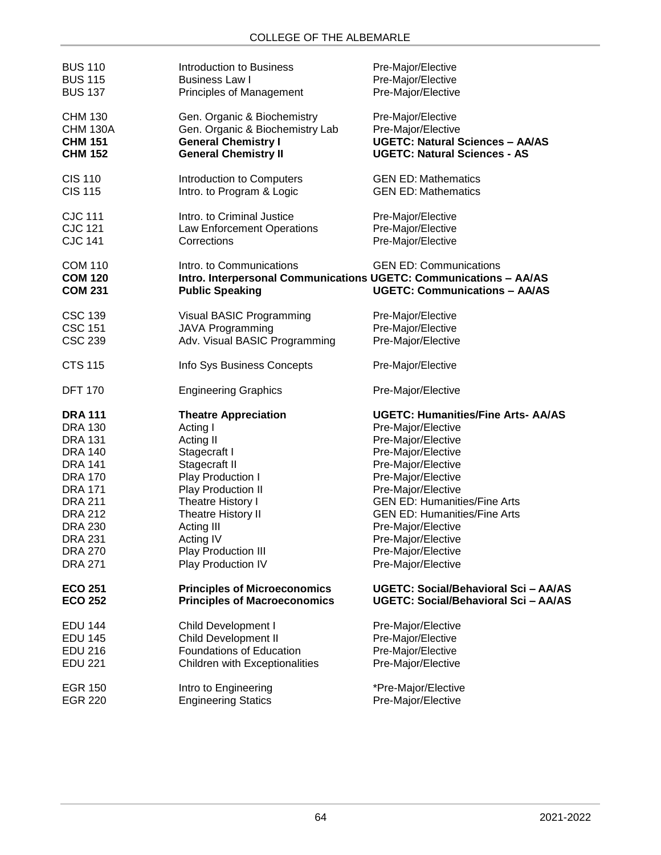| <b>BUS 110</b>                                     | Introduction to Business                                                                                                | Pre-Major/Elective                                                    |
|----------------------------------------------------|-------------------------------------------------------------------------------------------------------------------------|-----------------------------------------------------------------------|
| <b>BUS 115</b>                                     | <b>Business Law I</b>                                                                                                   | Pre-Major/Elective                                                    |
| <b>BUS 137</b>                                     | <b>Principles of Management</b>                                                                                         | Pre-Major/Elective                                                    |
| <b>CHM 130</b>                                     | Gen. Organic & Biochemistry                                                                                             | Pre-Major/Elective                                                    |
| <b>CHM 130A</b>                                    | Gen. Organic & Biochemistry Lab                                                                                         | Pre-Major/Elective                                                    |
| <b>CHM 151</b>                                     | <b>General Chemistry I</b>                                                                                              | <b>UGETC: Natural Sciences - AA/AS</b>                                |
| <b>CHM 152</b>                                     | <b>General Chemistry II</b>                                                                                             | <b>UGETC: Natural Sciences - AS</b>                                   |
| CIS 110                                            | Introduction to Computers                                                                                               | <b>GEN ED: Mathematics</b>                                            |
| <b>CIS 115</b>                                     | Intro. to Program & Logic                                                                                               | <b>GEN ED: Mathematics</b>                                            |
| <b>CJC 111</b>                                     | Intro. to Criminal Justice                                                                                              | Pre-Major/Elective                                                    |
| <b>CJC 121</b>                                     | Law Enforcement Operations                                                                                              | Pre-Major/Elective                                                    |
| <b>CJC 141</b>                                     | Corrections                                                                                                             | Pre-Major/Elective                                                    |
| <b>COM 110</b><br><b>COM 120</b><br><b>COM 231</b> | Intro, to Communications<br>Intro. Interpersonal Communications UGETC: Communications - AA/AS<br><b>Public Speaking</b> | <b>GEN ED: Communications</b><br><b>UGETC: Communications - AA/AS</b> |
| <b>CSC 139</b>                                     | Visual BASIC Programming                                                                                                | Pre-Major/Elective                                                    |
| <b>CSC 151</b>                                     | JAVA Programming                                                                                                        | Pre-Major/Elective                                                    |
| <b>CSC 239</b>                                     | Adv. Visual BASIC Programming                                                                                           | Pre-Major/Elective                                                    |
| <b>CTS 115</b>                                     | Info Sys Business Concepts                                                                                              | Pre-Major/Elective                                                    |
| <b>DFT 170</b>                                     | <b>Engineering Graphics</b>                                                                                             | Pre-Major/Elective                                                    |
| <b>DRA 111</b>                                     | <b>Theatre Appreciation</b>                                                                                             | <b>UGETC: Humanities/Fine Arts- AA/AS</b>                             |
| <b>DRA 130</b>                                     | Acting I                                                                                                                | Pre-Major/Elective                                                    |
| <b>DRA 131</b>                                     | Acting II                                                                                                               | Pre-Major/Elective                                                    |
| <b>DRA 140</b>                                     | Stagecraft I                                                                                                            | Pre-Major/Elective                                                    |
| <b>DRA 141</b>                                     | Stagecraft II                                                                                                           | Pre-Major/Elective                                                    |
| <b>DRA 170</b>                                     | Play Production I                                                                                                       | Pre-Major/Elective                                                    |
| <b>DRA 171</b>                                     | Play Production II                                                                                                      | Pre-Major/Elective                                                    |
| <b>DRA 211</b>                                     | Theatre History I                                                                                                       | <b>GEN ED: Humanities/Fine Arts</b>                                   |
| DRA 212                                            | Theatre History II                                                                                                      | <b>GEN ED: Humanities/Fine Arts</b>                                   |
| <b>DRA 230</b>                                     | Acting III                                                                                                              | Pre-Major/Elective                                                    |
| <b>DRA 231</b>                                     | Acting IV                                                                                                               | Pre-Major/Elective                                                    |
| <b>DRA 270</b>                                     | Play Production III                                                                                                     | Pre-Major/Elective                                                    |
| <b>DRA 271</b>                                     | Play Production IV                                                                                                      | Pre-Major/Elective                                                    |
| <b>ECO 251</b>                                     | <b>Principles of Microeconomics</b>                                                                                     | UGETC: Social/Behavioral Sci - AA/AS                                  |
| <b>ECO 252</b>                                     | <b>Principles of Macroeconomics</b>                                                                                     | UGETC: Social/Behavioral Sci - AA/AS                                  |
| <b>EDU 144</b>                                     | <b>Child Development I</b>                                                                                              | Pre-Major/Elective                                                    |
| <b>EDU 145</b>                                     | <b>Child Development II</b>                                                                                             | Pre-Major/Elective                                                    |
| <b>EDU 216</b>                                     | Foundations of Education                                                                                                | Pre-Major/Elective                                                    |
| <b>EDU 221</b>                                     | <b>Children with Exceptionalities</b>                                                                                   | Pre-Major/Elective                                                    |
| <b>EGR 150</b>                                     | Intro to Engineering                                                                                                    | *Pre-Major/Elective                                                   |
| <b>EGR 220</b>                                     | <b>Engineering Statics</b>                                                                                              | Pre-Major/Elective                                                    |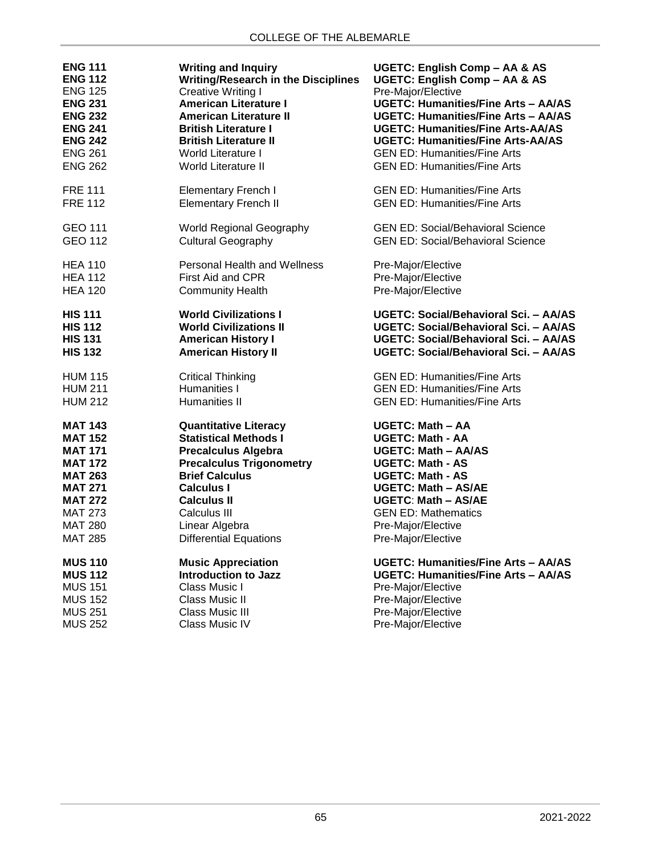| <b>ENG 111</b> | <b>Writing and Inquiry</b>                 | UGETC: English Comp - AA & AS              |
|----------------|--------------------------------------------|--------------------------------------------|
| <b>ENG 112</b> | <b>Writing/Research in the Disciplines</b> | UGETC: English Comp - AA & AS              |
| <b>ENG 125</b> | Creative Writing I                         | Pre-Major/Elective                         |
| <b>ENG 231</b> | <b>American Literature I</b>               | <b>UGETC: Humanities/Fine Arts - AA/AS</b> |
| <b>ENG 232</b> | <b>American Literature II</b>              | <b>UGETC: Humanities/Fine Arts - AA/AS</b> |
| <b>ENG 241</b> | <b>British Literature I</b>                | <b>UGETC: Humanities/Fine Arts-AA/AS</b>   |
| <b>ENG 242</b> | <b>British Literature II</b>               | <b>UGETC: Humanities/Fine Arts-AA/AS</b>   |
| <b>ENG 261</b> | <b>World Literature I</b>                  | <b>GEN ED: Humanities/Fine Arts</b>        |
| <b>ENG 262</b> | <b>World Literature II</b>                 | <b>GEN ED: Humanities/Fine Arts</b>        |
| <b>FRE 111</b> | <b>Elementary French I</b>                 | <b>GEN ED: Humanities/Fine Arts</b>        |
| <b>FRE 112</b> | <b>Elementary French II</b>                | <b>GEN ED: Humanities/Fine Arts</b>        |
| <b>GEO 111</b> | <b>World Regional Geography</b>            | <b>GEN ED: Social/Behavioral Science</b>   |
| <b>GEO 112</b> | <b>Cultural Geography</b>                  | <b>GEN ED: Social/Behavioral Science</b>   |
| <b>HEA 110</b> | <b>Personal Health and Wellness</b>        | Pre-Major/Elective                         |
| <b>HEA 112</b> | First Aid and CPR                          | Pre-Major/Elective                         |
| <b>HEA 120</b> | <b>Community Health</b>                    | Pre-Major/Elective                         |
| <b>HIS 111</b> | <b>World Civilizations I</b>               | UGETC: Social/Behavioral Sci. - AA/AS      |
| <b>HIS 112</b> | <b>World Civilizations II</b>              | UGETC: Social/Behavioral Sci. - AA/AS      |
| <b>HIS 131</b> | <b>American History I</b>                  | UGETC: Social/Behavioral Sci. - AA/AS      |
| <b>HIS 132</b> | <b>American History II</b>                 | UGETC: Social/Behavioral Sci. - AA/AS      |
| <b>HUM 115</b> | <b>Critical Thinking</b>                   | <b>GEN ED: Humanities/Fine Arts</b>        |
| <b>HUM 211</b> | Humanities I                               | <b>GEN ED: Humanities/Fine Arts</b>        |
| <b>HUM 212</b> | Humanities II                              | <b>GEN ED: Humanities/Fine Arts</b>        |
| <b>MAT 143</b> | <b>Quantitative Literacy</b>               | UGETC: Math - AA                           |
| <b>MAT 152</b> | <b>Statistical Methods I</b>               | <b>UGETC: Math - AA</b>                    |
| <b>MAT 171</b> | <b>Precalculus Algebra</b>                 | <b>UGETC: Math - AA/AS</b>                 |
| <b>MAT 172</b> | <b>Precalculus Trigonometry</b>            | <b>UGETC: Math - AS</b>                    |
| <b>MAT 263</b> | <b>Brief Calculus</b>                      | <b>UGETC: Math - AS</b>                    |
| <b>MAT 271</b> | <b>Calculus I</b>                          | <b>UGETC: Math - AS/AE</b>                 |
| <b>MAT 272</b> | <b>Calculus II</b>                         | <b>UGETC: Math - AS/AE</b>                 |
| <b>MAT 273</b> | Calculus III                               | <b>GEN ED: Mathematics</b>                 |
| <b>MAT 280</b> | Linear Algebra                             | Pre-Major/Elective                         |
| <b>MAT 285</b> | <b>Differential Equations</b>              | Pre-Major/Elective                         |
| <b>MUS 110</b> | <b>Music Appreciation</b>                  | <b>UGETC: Humanities/Fine Arts - AA/AS</b> |
| <b>MUS 112</b> | <b>Introduction to Jazz</b>                | <b>UGETC: Humanities/Fine Arts - AA/AS</b> |
| <b>MUS 151</b> | Class Music I                              | Pre-Major/Elective                         |
| <b>MUS 152</b> | Class Music II                             | Pre-Major/Elective                         |
| <b>MUS 251</b> | <b>Class Music III</b>                     | Pre-Major/Elective                         |
| <b>MUS 252</b> | Class Music IV                             | Pre-Major/Elective                         |